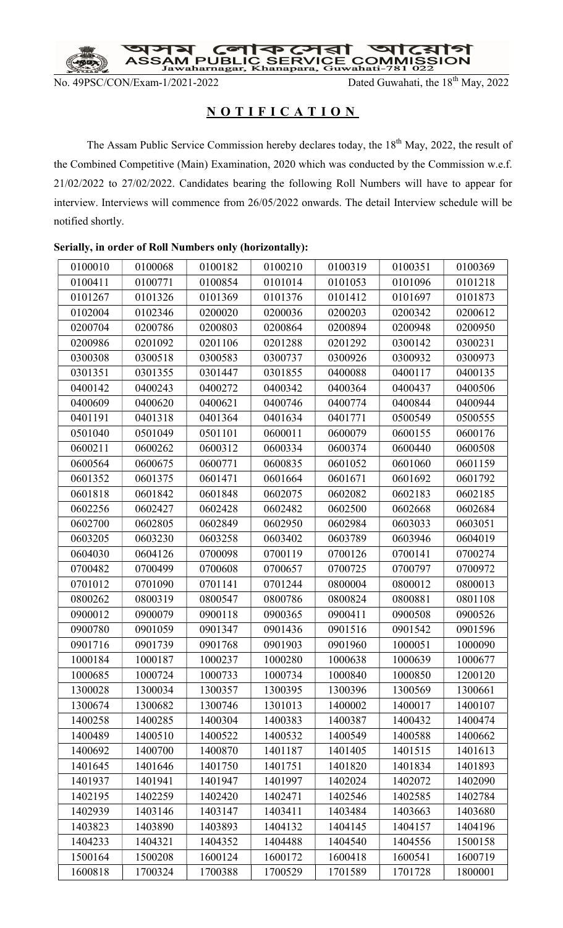

No. 49PSC/CON/Exam-1/2021-2022 Dated Guwahati, the 18<sup>th</sup> May, 2022

## NOTIFICATION

The Assam Public Service Commission hereby declares today, the 18<sup>th</sup> May, 2022, the result of the Combined Competitive (Main) Examination, 2020 which was conducted by the Commission w.e.f. 21/02/2022 to 27/02/2022. Candidates bearing the following Roll Numbers will have to appear for interview. Interviews will commence from 26/05/2022 onwards. The detail Interview schedule will be notified shortly.

| 0100010 | 0100068 | 0100182 | 0100210 | 0100319 | 0100351 | 0100369 |
|---------|---------|---------|---------|---------|---------|---------|
| 0100411 | 0100771 | 0100854 | 0101014 | 0101053 | 0101096 | 0101218 |
| 0101267 | 0101326 | 0101369 | 0101376 | 0101412 | 0101697 | 0101873 |
| 0102004 | 0102346 | 0200020 | 0200036 | 0200203 | 0200342 | 0200612 |
| 0200704 | 0200786 | 0200803 | 0200864 | 0200894 | 0200948 | 0200950 |
| 0200986 | 0201092 | 0201106 | 0201288 | 0201292 | 0300142 | 0300231 |
| 0300308 | 0300518 | 0300583 | 0300737 | 0300926 | 0300932 | 0300973 |
| 0301351 | 0301355 | 0301447 | 0301855 | 0400088 | 0400117 | 0400135 |
| 0400142 | 0400243 | 0400272 | 0400342 | 0400364 | 0400437 | 0400506 |
| 0400609 | 0400620 | 0400621 | 0400746 | 0400774 | 0400844 | 0400944 |
| 0401191 | 0401318 | 0401364 | 0401634 | 0401771 | 0500549 | 0500555 |
| 0501040 | 0501049 | 0501101 | 0600011 | 0600079 | 0600155 | 0600176 |
| 0600211 | 0600262 | 0600312 | 0600334 | 0600374 | 0600440 | 0600508 |
| 0600564 | 0600675 | 0600771 | 0600835 | 0601052 | 0601060 | 0601159 |
| 0601352 | 0601375 | 0601471 | 0601664 | 0601671 | 0601692 | 0601792 |
| 0601818 | 0601842 | 0601848 | 0602075 | 0602082 | 0602183 | 0602185 |
| 0602256 | 0602427 | 0602428 | 0602482 | 0602500 | 0602668 | 0602684 |
| 0602700 | 0602805 | 0602849 | 0602950 | 0602984 | 0603033 | 0603051 |
| 0603205 | 0603230 | 0603258 | 0603402 | 0603789 | 0603946 | 0604019 |
| 0604030 | 0604126 | 0700098 | 0700119 | 0700126 | 0700141 | 0700274 |
| 0700482 | 0700499 | 0700608 | 0700657 | 0700725 | 0700797 | 0700972 |
| 0701012 | 0701090 | 0701141 | 0701244 | 0800004 | 0800012 | 0800013 |
| 0800262 | 0800319 | 0800547 | 0800786 | 0800824 | 0800881 | 0801108 |
| 0900012 | 0900079 | 0900118 | 0900365 | 0900411 | 0900508 | 0900526 |
| 0900780 | 0901059 | 0901347 | 0901436 | 0901516 | 0901542 | 0901596 |
| 0901716 | 0901739 | 0901768 | 0901903 | 0901960 | 1000051 | 1000090 |
| 1000184 | 1000187 | 1000237 | 1000280 | 1000638 | 1000639 | 1000677 |
| 1000685 | 1000724 | 1000733 | 1000734 | 1000840 | 1000850 | 1200120 |
| 1300028 | 1300034 | 1300357 | 1300395 | 1300396 | 1300569 | 1300661 |
| 1300674 | 1300682 | 1300746 | 1301013 | 1400002 | 1400017 | 1400107 |
| 1400258 | 1400285 | 1400304 | 1400383 | 1400387 | 1400432 | 1400474 |
| 1400489 | 1400510 | 1400522 | 1400532 | 1400549 | 1400588 | 1400662 |
| 1400692 | 1400700 | 1400870 | 1401187 | 1401405 | 1401515 | 1401613 |
| 1401645 | 1401646 | 1401750 | 1401751 | 1401820 | 1401834 | 1401893 |
| 1401937 | 1401941 | 1401947 | 1401997 | 1402024 | 1402072 | 1402090 |
| 1402195 | 1402259 | 1402420 | 1402471 | 1402546 | 1402585 | 1402784 |
| 1402939 | 1403146 | 1403147 | 1403411 | 1403484 | 1403663 | 1403680 |
| 1403823 | 1403890 | 1403893 | 1404132 | 1404145 | 1404157 | 1404196 |
| 1404233 | 1404321 | 1404352 | 1404488 | 1404540 | 1404556 | 1500158 |
| 1500164 | 1500208 | 1600124 | 1600172 | 1600418 | 1600541 | 1600719 |
| 1600818 | 1700324 | 1700388 | 1700529 | 1701589 | 1701728 | 1800001 |

## Serially, in order of Roll Numbers only (horizontally):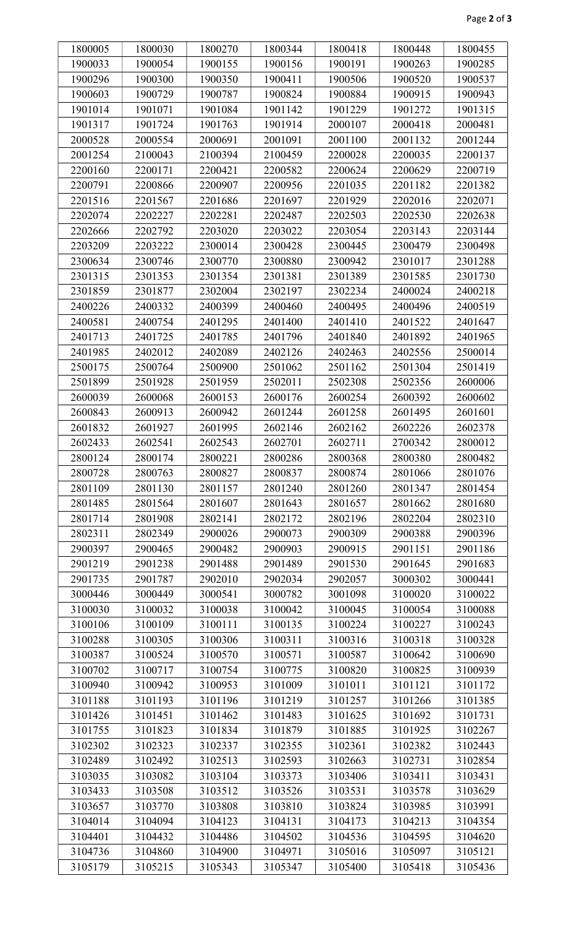| 1800005 | 1800030 | 1800270 | 1800344 | 1800418 | 1800448 | 1800455 |
|---------|---------|---------|---------|---------|---------|---------|
| 1900033 | 1900054 | 1900155 | 1900156 | 1900191 | 1900263 | 1900285 |
| 1900296 | 1900300 | 1900350 | 1900411 | 1900506 | 1900520 | 1900537 |
| 1900603 | 1900729 | 1900787 | 1900824 | 1900884 | 1900915 | 1900943 |
| 1901014 | 1901071 | 1901084 | 1901142 | 1901229 | 1901272 | 1901315 |
| 1901317 | 1901724 | 1901763 | 1901914 | 2000107 | 2000418 | 2000481 |
| 2000528 | 2000554 | 2000691 | 2001091 | 2001100 | 2001132 | 2001244 |
| 2001254 | 2100043 | 2100394 | 2100459 | 2200028 | 2200035 | 2200137 |
| 2200160 | 2200171 | 2200421 | 2200582 | 2200624 | 2200629 | 2200719 |
| 2200791 | 2200866 | 2200907 | 2200956 | 2201035 | 2201182 | 2201382 |
| 2201516 | 2201567 | 2201686 | 2201697 | 2201929 | 2202016 | 2202071 |
| 2202074 | 2202227 | 2202281 | 2202487 | 2202503 | 2202530 | 2202638 |
| 2202666 | 2202792 | 2203020 | 2203022 | 2203054 | 2203143 | 2203144 |
| 2203209 | 2203222 | 2300014 | 2300428 | 2300445 | 2300479 | 2300498 |
| 2300634 | 2300746 | 2300770 | 2300880 | 2300942 | 2301017 | 2301288 |
| 2301315 | 2301353 | 2301354 | 2301381 | 2301389 | 2301585 | 2301730 |
| 2301859 | 2301877 | 2302004 | 2302197 | 2302234 | 2400024 | 2400218 |
| 2400226 | 2400332 | 2400399 | 2400460 | 2400495 | 2400496 | 2400519 |
| 2400581 | 2400754 | 2401295 | 2401400 | 2401410 | 2401522 | 2401647 |
| 2401713 | 2401725 | 2401785 | 2401796 | 2401840 | 2401892 | 2401965 |
| 2401985 | 2402012 | 2402089 | 2402126 | 2402463 | 2402556 | 2500014 |
| 2500175 | 2500764 | 2500900 | 2501062 | 2501162 | 2501304 | 2501419 |
| 2501899 | 2501928 | 2501959 | 2502011 | 2502308 | 2502356 | 2600006 |
| 2600039 | 2600068 | 2600153 | 2600176 | 2600254 | 2600392 | 2600602 |
| 2600843 | 2600913 | 2600942 | 2601244 | 2601258 | 2601495 | 2601601 |
| 2601832 | 2601927 | 2601995 | 2602146 | 2602162 | 2602226 | 2602378 |
| 2602433 | 2602541 | 2602543 | 2602701 | 2602711 | 2700342 | 2800012 |
| 2800124 | 2800174 | 2800221 | 2800286 | 2800368 | 2800380 | 2800482 |
| 2800728 | 2800763 | 2800827 | 2800837 | 2800874 | 2801066 | 2801076 |
| 2801109 | 2801130 | 2801157 | 2801240 | 2801260 | 2801347 | 2801454 |
| 2801485 | 2801564 | 2801607 | 2801643 | 2801657 | 2801662 | 2801680 |
| 2801714 | 2801908 | 2802141 | 2802172 | 2802196 | 2802204 | 2802310 |
| 2802311 | 2802349 | 2900026 | 2900073 | 2900309 | 2900388 | 2900396 |
| 2900397 | 2900465 | 2900482 | 2900903 | 2900915 | 2901151 | 2901186 |
| 2901219 | 2901238 | 2901488 | 2901489 | 2901530 | 2901645 | 2901683 |
|         |         |         |         |         |         |         |
| 2901735 | 2901787 | 2902010 | 2902034 | 2902057 | 3000302 | 3000441 |
| 3000446 | 3000449 | 3000541 | 3000782 | 3001098 | 3100020 | 3100022 |
| 3100030 | 3100032 | 3100038 | 3100042 | 3100045 | 3100054 | 3100088 |
| 3100106 | 3100109 | 3100111 | 3100135 | 3100224 | 3100227 | 3100243 |
| 3100288 | 3100305 | 3100306 | 3100311 | 3100316 | 3100318 | 3100328 |
| 3100387 | 3100524 | 3100570 | 3100571 | 3100587 | 3100642 | 3100690 |
| 3100702 | 3100717 | 3100754 | 3100775 | 3100820 | 3100825 | 3100939 |
| 3100940 | 3100942 | 3100953 | 3101009 | 3101011 | 3101121 | 3101172 |
| 3101188 | 3101193 | 3101196 | 3101219 | 3101257 | 3101266 | 3101385 |
| 3101426 | 3101451 | 3101462 | 3101483 | 3101625 | 3101692 | 3101731 |
| 3101755 | 3101823 | 3101834 | 3101879 | 3101885 | 3101925 | 3102267 |
| 3102302 | 3102323 | 3102337 | 3102355 | 3102361 | 3102382 | 3102443 |
| 3102489 | 3102492 | 3102513 | 3102593 | 3102663 | 3102731 | 3102854 |
| 3103035 | 3103082 | 3103104 | 3103373 | 3103406 | 3103411 | 3103431 |
| 3103433 | 3103508 | 3103512 | 3103526 | 3103531 | 3103578 | 3103629 |
| 3103657 | 3103770 | 3103808 | 3103810 | 3103824 | 3103985 | 3103991 |
| 3104014 | 3104094 | 3104123 | 3104131 | 3104173 | 3104213 | 3104354 |
| 3104401 | 3104432 | 3104486 | 3104502 | 3104536 | 3104595 | 3104620 |
| 3104736 | 3104860 | 3104900 | 3104971 | 3105016 | 3105097 | 3105121 |
| 3105179 | 3105215 | 3105343 | 3105347 | 3105400 | 3105418 | 3105436 |